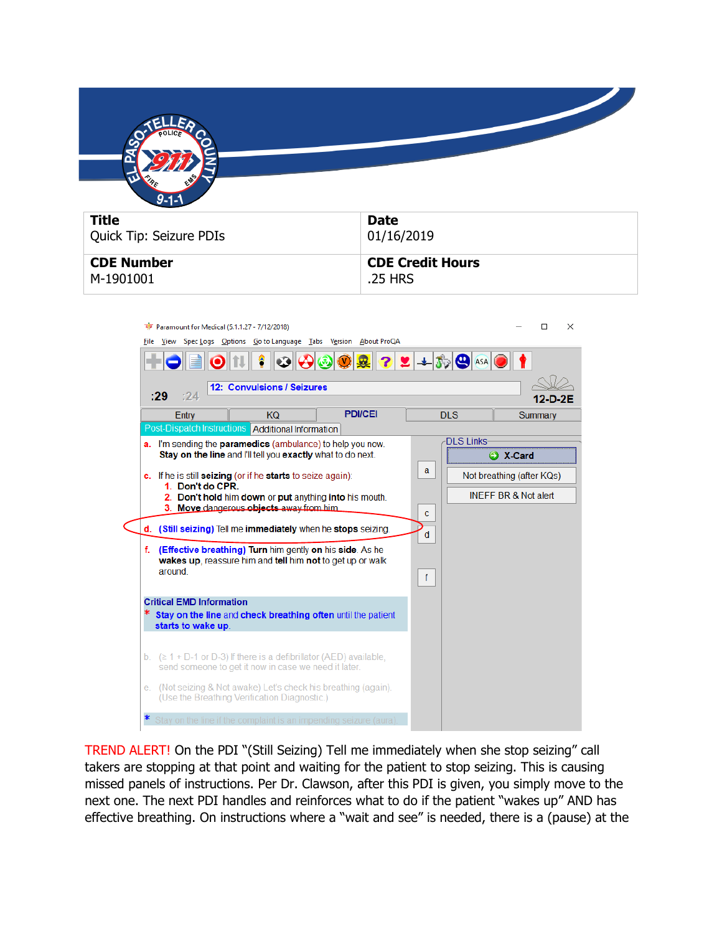

| Quick Tip: Seizure PDIs | 01/16/2019              |
|-------------------------|-------------------------|
| <b>CDE Number</b>       | <b>CDE Credit Hours</b> |
| M-1901001               | .25 HRS                 |

| Paramount for Medical (5.1.1.27 - 7/12/2018)                                                       | X<br>п                          |
|----------------------------------------------------------------------------------------------------|---------------------------------|
| File View Spec Logs Options Goto Language Tabs Version About ProQA                                 |                                 |
| $22+50$ $\circ$ ASA<br>$\bullet$ 30<br>Ø                                                           |                                 |
| 12: Convulsions / Seizures                                                                         |                                 |
| :29<br>:24                                                                                         |                                 |
| <b>PDI/CEI</b><br>Entry<br><b>KQ</b><br><b>DLS</b>                                                 | Summary                         |
| <b>Post-Dispatch Instructions Additional Information</b>                                           |                                 |
| <b>DLS Links-</b><br><b>a.</b> I'm sending the <b>paramedics</b> (ambulance) to help you now.      |                                 |
| Stay on the line and I'll tell you exactly what to do next.                                        | A X-Card                        |
| a<br>c. If he is still <b>seizing</b> (or if he <b>starts</b> to seize again):                     | Not breathing (after KQs)       |
| 1. Don't do CPR.                                                                                   |                                 |
| 2. Don't hold him down or put anything into his mouth.<br>3. Move dangerous objects away from him. | <b>INFFF BR &amp; Not alert</b> |
| c                                                                                                  |                                 |
| d. (Still seizing) Tell me immediately when he stops seizing.<br>d                                 |                                 |
| (Effective breathing) Turn him gently on his side. As he<br>f.                                     |                                 |
| wakes up, reassure him and tell him not to get up or walk                                          |                                 |
| around<br>f                                                                                        |                                 |
|                                                                                                    |                                 |
| <b>Critical EMD Information</b>                                                                    |                                 |
| Stay on the line and check breathing often until the patient<br>starts to wake up.                 |                                 |
|                                                                                                    |                                 |
| b. $( \ge 1 + D - 1)$ or D-3) If there is a defibrillator (AED) available,                         |                                 |
| send someone to get it now in case we need it later.                                               |                                 |
| e. (Not seizing & Not awake) Let's check his breathing (again).                                    |                                 |
| (Use the Breathing Verification Diagnostic.)                                                       |                                 |
|                                                                                                    |                                 |
| Stay on the line if the complaint is an impending seizure (aura).                                  |                                 |

TREND ALERT! On the PDI "(Still Seizing) Tell me immediately when she stop seizing" call takers are stopping at that point and waiting for the patient to stop seizing. This is causing missed panels of instructions. Per Dr. Clawson, after this PDI is given, you simply move to the next one. The next PDI handles and reinforces what to do if the patient "wakes up" AND has effective breathing. On instructions where a "wait and see" is needed, there is a (pause) at the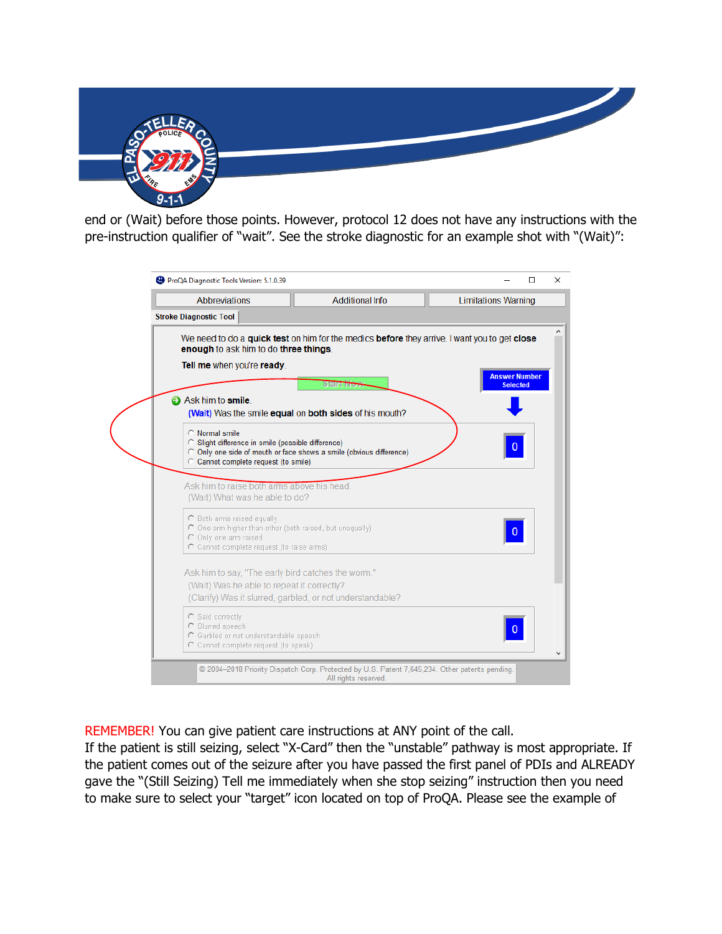

end or (Wait) before those points. However, protocol 12 does not have any instructions with the pre-instruction qualifier of "wait". See the stroke diagnostic for an example shot with "(Wait)":

| ProQA Diagnostic Tools Version: 5.1.0.39                                               |                                                                                                | $\Box$                     |  |
|----------------------------------------------------------------------------------------|------------------------------------------------------------------------------------------------|----------------------------|--|
| Abbreviations                                                                          | <b>Additional Info</b>                                                                         | <b>Limitations Warning</b> |  |
| <b>Stroke Diagnostic Tool</b>                                                          |                                                                                                |                            |  |
|                                                                                        | We need to do a quick test on him for the medics before they arrive. I want you to get close   |                            |  |
| enough to ask him to do three things.                                                  |                                                                                                |                            |  |
| Tell me when you're ready.                                                             |                                                                                                | <b>Answer Number</b>       |  |
|                                                                                        | Start Ive                                                                                      | <b>Selected</b>            |  |
| Ask him to smile.                                                                      | (Wait) Was the smile equal on both sides of his mouth?                                         |                            |  |
| C Normal smile                                                                         |                                                                                                |                            |  |
| C Slight difference in smile (possible difference)                                     |                                                                                                | $\pmb{0}$                  |  |
| C Cannot complete request (to smile)                                                   | C Only one side of mouth or face shows a smile (obvious difference)                            |                            |  |
|                                                                                        |                                                                                                |                            |  |
| Ask him to raise both arms above his head.                                             |                                                                                                |                            |  |
| (Wait) What was he able to do?                                                         |                                                                                                |                            |  |
| C Both arms raised equally<br>O One arm higher than other (both raised, but unequally) |                                                                                                |                            |  |
| Only one arm raised                                                                    |                                                                                                | $\mathbf{0}$               |  |
| C Cannot complete request (to raise arms)                                              |                                                                                                |                            |  |
| Ask him to say, "The early bird catches the worm."                                     |                                                                                                |                            |  |
| (Wait) Was he able to repeat it correctly?                                             |                                                                                                |                            |  |
| (Clarify) Was it slurred, garbled, or not understandable?                              |                                                                                                |                            |  |
| C Said correctly                                                                       |                                                                                                |                            |  |
| C Slurred speech<br>C Garbled or not understandable speech                             |                                                                                                | $\overline{0}$             |  |
| C Cannot complete request (to speak)                                                   |                                                                                                |                            |  |
|                                                                                        | @ 2004-2018 Priority Dispatch Corp. Protected by U.S. Patent 7,645,234. Other patents pending. |                            |  |
|                                                                                        | All rights reserved.                                                                           |                            |  |

REMEMBER! You can give patient care instructions at ANY point of the call.

If the patient is still seizing, select "X-Card" then the "unstable" pathway is most appropriate. If the patient comes out of the seizure after you have passed the first panel of PDIs and ALREADY gave the "(Still Seizing) Tell me immediately when she stop seizing" instruction then you need to make sure to select your "target" icon located on top of ProQA. Please see the example of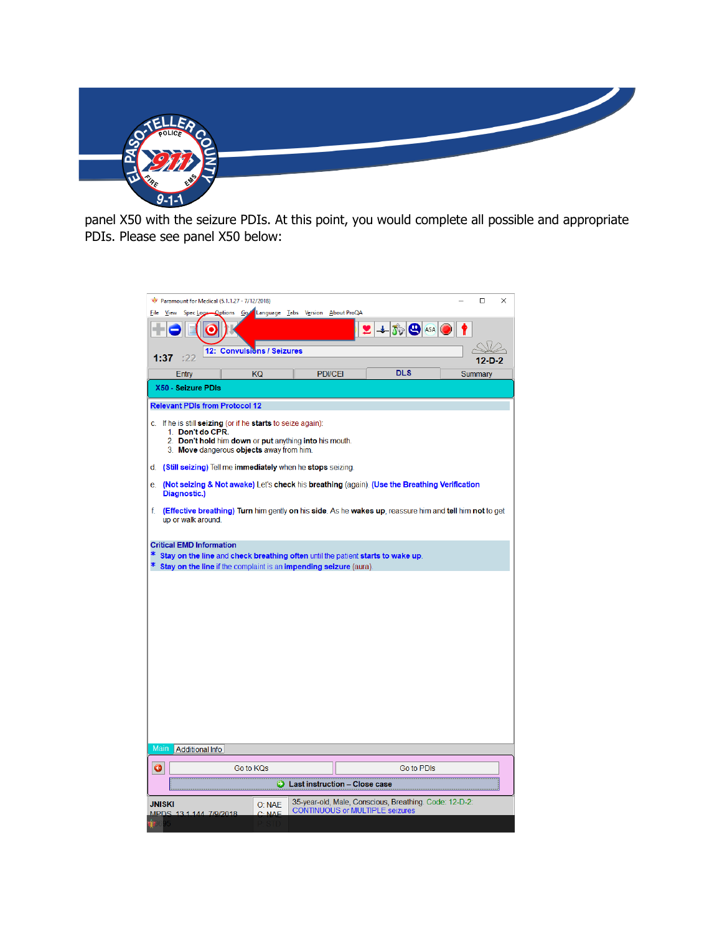

panel X50 with the seizure PDIs. At this point, you would complete all possible and appropriate PDIs. Please see panel X50 below: